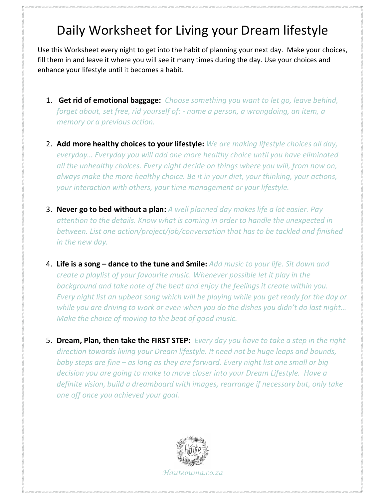## Daily Worksheet for Living your Dream lifestyle

Use this Worksheet every night to get into the habit of planning your next day. Make your choices, fill them in and leave it where you will see it many times during the day. Use your choices and enhance your lifestyle until it becomes a habit.

- 1. Get rid of emotional baggage: Choose something you want to let go, leave behind, forget about, set free, rid yourself of: - name a person, a wrongdoing, an item, a memory or a previous action.
- 2. Add more healthy choices to your lifestyle: We are making lifestyle choices all day, everyday… Everyday you will add one more healthy choice until you have eliminated all the unhealthy choices. Every night decide on things where you will, from now on, always make the more healthy choice. Be it in your diet, your thinking, your actions, your interaction with others, your time management or your lifestyle.
- 3. Never go to bed without a plan: A well planned day makes life a lot easier. Pay attention to the details. Know what is coming in order to handle the unexpected in between. List one action/project/job/conversation that has to be tackled and finished in the new day.
- 4. Life is a song dance to the tune and Smile: Add music to your life. Sit down and create a playlist of your favourite music. Whenever possible let it play in the background and take note of the beat and enjoy the feelings it create within you. Every night list an upbeat song which will be playing while you get ready for the day or while you are driving to work or even when you do the dishes you didn't do last night… Make the choice of moving to the beat of good music.
- 5. Dream, Plan, then take the FIRST STEP: Every day you have to take a step in the right direction towards living your Dream lifestyle. It need not be huge leaps and bounds, baby steps are fine – as long as they are forward. Every night list one small or big decision you are going to make to move closer into your Dream Lifestyle. Have a definite vision, build a dreamboard with images, rearrange if necessary but, only take one off once you achieved your goal.